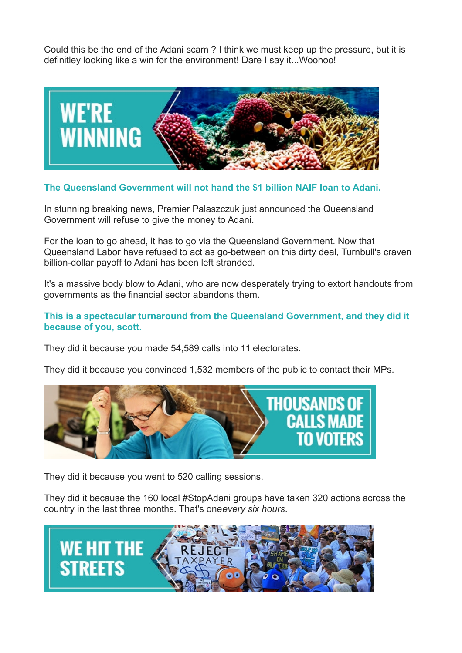Could this be the end of the Adani scam ? I think we must keep up the pressure, but it is definitley looking like a win for the environment! Dare I say it...Woohoo!



## **The Queensland Government will not hand the \$1 billion NAIF loan to Adani.**

In stunning breaking news, Premier Palaszczuk just announced the Queensland Government will refuse to give the money to Adani.

For the loan to go ahead, it has to go via the Queensland Government. Now that Queensland Labor have refused to act as go-between on this dirty deal, Turnbull's craven billion-dollar payoff to Adani has been left stranded.

It's a massive body blow to Adani, who are now desperately trying to extort handouts from governments as the financial sector abandons them.

## **This is a spectacular turnaround from the Queensland Government, and they did it because of you, scott.**

They did it because you made 54,589 calls into 11 electorates.

They did it because you convinced 1,532 members of the public to contact their MPs.



They did it because you went to 520 calling sessions.

They did it because the 160 local #StopAdani groups have taken 320 actions across the country in the last three months. That's one*every six hours*.